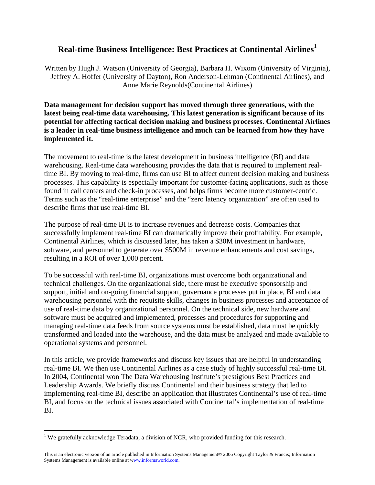# **Real-time Business Intelligence: Best Practices at Continental Airlines<sup>1</sup>**

Written by Hugh J. Watson (University of Georgia), Barbara H. Wixom (University of Virginia), Jeffrey A. Hoffer (University of Dayton), Ron Anderson-Lehman (Continental Airlines), and Anne Marie Reynolds(Continental Airlines)

**Data management for decision support has moved through three generations, with the latest being real-time data warehousing. This latest generation is significant because of its potential for affecting tactical decision making and business processes. Continental Airlines is a leader in real-time business intelligence and much can be learned from how they have implemented it.** 

The movement to real-time is the latest development in business intelligence (BI) and data warehousing. Real-time data warehousing provides the data that is required to implement realtime BI. By moving to real-time, firms can use BI to affect current decision making and business processes. This capability is especially important for customer-facing applications, such as those found in call centers and check-in processes, and helps firms become more customer-centric. Terms such as the "real-time enterprise" and the "zero latency organization" are often used to describe firms that use real-time BI.

The purpose of real-time BI is to increase revenues and decrease costs. Companies that successfully implement real-time BI can dramatically improve their profitability. For example, Continental Airlines, which is discussed later, has taken a \$30M investment in hardware, software, and personnel to generate over \$500M in revenue enhancements and cost savings, resulting in a ROI of over 1,000 percent.

To be successful with real-time BI, organizations must overcome both organizational and technical challenges. On the organizational side, there must be executive sponsorship and support, initial and on-going financial support, governance processes put in place, BI and data warehousing personnel with the requisite skills, changes in business processes and acceptance of use of real-time data by organizational personnel. On the technical side, new hardware and software must be acquired and implemented, processes and procedures for supporting and managing real-time data feeds from source systems must be established, data must be quickly transformed and loaded into the warehouse, and the data must be analyzed and made available to operational systems and personnel.

In this article, we provide frameworks and discuss key issues that are helpful in understanding real-time BI. We then use Continental Airlines as a case study of highly successful real-time BI. In 2004, Continental won The Data Warehousing Institute's prestigious Best Practices and Leadership Awards. We briefly discuss Continental and their business strategy that led to implementing real-time BI, describe an application that illustrates Continental's use of real-time BI, and focus on the technical issues associated with Continental's implementation of real-time BI.

<u>.</u>

<sup>&</sup>lt;sup>1</sup> We gratefully acknowledge Teradata, a division of NCR, who provided funding for this research.

This is an electronic version of an article published in Information Systems Management© 2006 Copyright Taylor & Francis; Information Systems Management is available online at www.informaworld.com.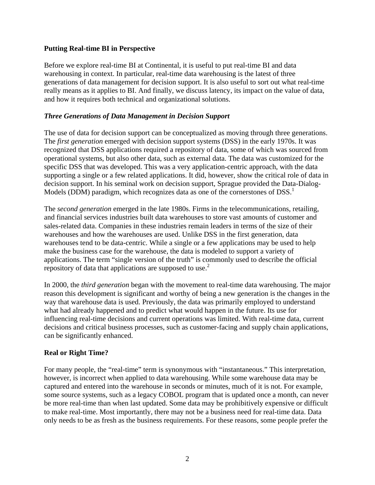## **Putting Real-time BI in Perspective**

Before we explore real-time BI at Continental, it is useful to put real-time BI and data warehousing in context. In particular, real-time data warehousing is the latest of three generations of data management for decision support. It is also useful to sort out what real-time really means as it applies to BI. And finally, we discuss latency, its impact on the value of data, and how it requires both technical and organizational solutions.

### *Three Generations of Data Management in Decision Support*

The use of data for decision support can be conceptualized as moving through three generations. The *first generation* emerged with decision support systems (DSS) in the early 1970s. It was recognized that DSS applications required a repository of data, some of which was sourced from operational systems, but also other data, such as external data. The data was customized for the specific DSS that was developed. This was a very application-centric approach, with the data supporting a single or a few related applications. It did, however, show the critical role of data in decision support. In his seminal work on decision support, Sprague provided the Data-Dialog-Models (DDM) paradigm, which recognizes data as one of the cornerstones of  $DSS<sup>1</sup>$ 

The *second generation* emerged in the late 1980s. Firms in the telecommunications, retailing, and financial services industries built data warehouses to store vast amounts of customer and sales-related data. Companies in these industries remain leaders in terms of the size of their warehouses and how the warehouses are used. Unlike DSS in the first generation, data warehouses tend to be data-centric. While a single or a few applications may be used to help make the business case for the warehouse, the data is modeled to support a variety of applications. The term "single version of the truth" is commonly used to describe the official repository of data that applications are supposed to use.<sup>2</sup>

In 2000, the *third generation* began with the movement to real-time data warehousing. The major reason this development is significant and worthy of being a new generation is the changes in the way that warehouse data is used. Previously, the data was primarily employed to understand what had already happened and to predict what would happen in the future. Its use for influencing real-time decisions and current operations was limited. With real-time data, current decisions and critical business processes, such as customer-facing and supply chain applications, can be significantly enhanced.

## **Real or Right Time?**

For many people, the "real-time" term is synonymous with "instantaneous." This interpretation, however, is incorrect when applied to data warehousing. While some warehouse data may be captured and entered into the warehouse in seconds or minutes, much of it is not. For example, some source systems, such as a legacy COBOL program that is updated once a month, can never be more real-time than when last updated. Some data may be prohibitively expensive or difficult to make real-time. Most importantly, there may not be a business need for real-time data. Data only needs to be as fresh as the business requirements. For these reasons, some people prefer the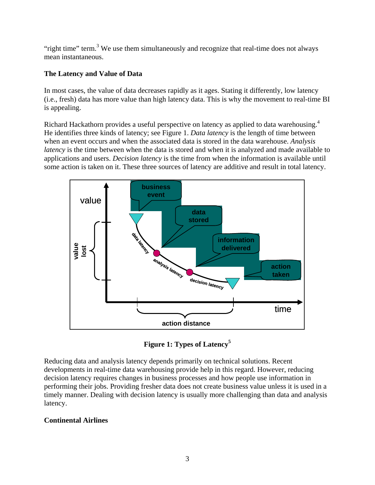"right time" term. $3$  We use them simultaneously and recognize that real-time does not always mean instantaneous.

# **The Latency and Value of Data**

In most cases, the value of data decreases rapidly as it ages. Stating it differently, low latency (i.e., fresh) data has more value than high latency data. This is why the movement to real-time BI is appealing.

Richard Hackathorn provides a useful perspective on latency as applied to data warehousing.<sup>4</sup> He identifies three kinds of latency; see Figure 1. *Data latency* is the length of time between when an event occurs and when the associated data is stored in the data warehouse. *Analysis latency* is the time between when the data is stored and when it is analyzed and made available to applications and users. *Decision latency* is the time from when the information is available until some action is taken on it. These three sources of latency are additive and result in total latency.



**Figure 1: Types of Latency5**

Reducing data and analysis latency depends primarily on technical solutions. Recent developments in real-time data warehousing provide help in this regard. However, reducing decision latency requires changes in business processes and how people use information in performing their jobs. Providing fresher data does not create business value unless it is used in a timely manner. Dealing with decision latency is usually more challenging than data and analysis latency.

# **Continental Airlines**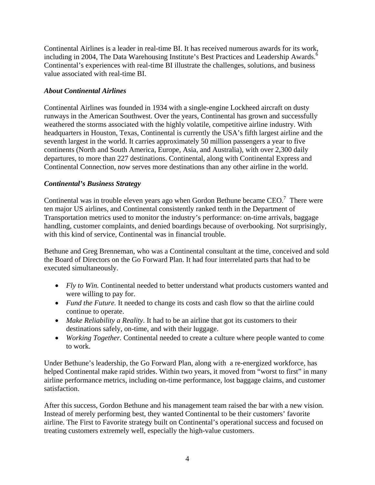Continental Airlines is a leader in real-time BI. It has received numerous awards for its work, including in 2004, The Data Warehousing Institute's Best Practices and Leadership Awards.<sup>6</sup> Continental's experiences with real-time BI illustrate the challenges, solutions, and business value associated with real-time BI.

## *About Continental Airlines*

Continental Airlines was founded in 1934 with a single-engine Lockheed aircraft on dusty runways in the American Southwest. Over the years, Continental has grown and successfully weathered the storms associated with the highly volatile, competitive airline industry. With headquarters in Houston, Texas, Continental is currently the USA's fifth largest airline and the seventh largest in the world. It carries approximately 50 million passengers a year to five continents (North and South America, Europe, Asia, and Australia), with over 2,300 daily departures, to more than 227 destinations. Continental, along with Continental Express and Continental Connection, now serves more destinations than any other airline in the world.

## *Continental's Business Strategy*

Continental was in trouble eleven years ago when Gordon Bethune became  $CEO.<sup>7</sup>$  There were ten major US airlines, and Continental consistently ranked tenth in the Department of Transportation metrics used to monitor the industry's performance: on-time arrivals, baggage handling, customer complaints, and denied boardings because of overbooking. Not surprisingly, with this kind of service, Continental was in financial trouble.

Bethune and Greg Brenneman, who was a Continental consultant at the time, conceived and sold the Board of Directors on the Go Forward Plan. It had four interrelated parts that had to be executed simultaneously.

- *Fly to Win.* Continental needed to better understand what products customers wanted and were willing to pay for.
- *Fund the Future.* It needed to change its costs and cash flow so that the airline could continue to operate.
- *Make Reliability a Reality*. It had to be an airline that got its customers to their destinations safely, on-time, and with their luggage.
- *Working Together.* Continental needed to create a culture where people wanted to come to work.

Under Bethune's leadership, the Go Forward Plan, along with a re-energized workforce, has helped Continental make rapid strides. Within two years, it moved from "worst to first" in many airline performance metrics, including on-time performance, lost baggage claims, and customer satisfaction.

After this success, Gordon Bethune and his management team raised the bar with a new vision. Instead of merely performing best, they wanted Continental to be their customers' favorite airline. The First to Favorite strategy built on Continental's operational success and focused on treating customers extremely well, especially the high-value customers.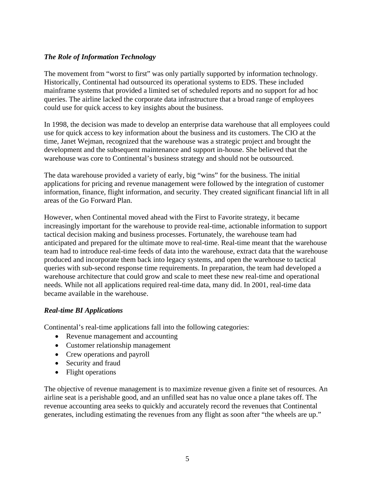## *The Role of Information Technology*

The movement from "worst to first" was only partially supported by information technology. Historically, Continental had outsourced its operational systems to EDS. These included mainframe systems that provided a limited set of scheduled reports and no support for ad hoc queries. The airline lacked the corporate data infrastructure that a broad range of employees could use for quick access to key insights about the business.

In 1998, the decision was made to develop an enterprise data warehouse that all employees could use for quick access to key information about the business and its customers. The CIO at the time, Janet Wejman, recognized that the warehouse was a strategic project and brought the development and the subsequent maintenance and support in-house. She believed that the warehouse was core to Continental's business strategy and should not be outsourced.

The data warehouse provided a variety of early, big "wins" for the business. The initial applications for pricing and revenue management were followed by the integration of customer information, finance, flight information, and security. They created significant financial lift in all areas of the Go Forward Plan.

However, when Continental moved ahead with the First to Favorite strategy, it became increasingly important for the warehouse to provide real-time, actionable information to support tactical decision making and business processes. Fortunately, the warehouse team had anticipated and prepared for the ultimate move to real-time. Real-time meant that the warehouse team had to introduce real-time feeds of data into the warehouse, extract data that the warehouse produced and incorporate them back into legacy systems, and open the warehouse to tactical queries with sub-second response time requirements. In preparation, the team had developed a warehouse architecture that could grow and scale to meet these new real-time and operational needs. While not all applications required real-time data, many did. In 2001, real-time data became available in the warehouse.

## *Real-time BI Applications*

Continental's real-time applications fall into the following categories:

- Revenue management and accounting
- Customer relationship management
- Crew operations and payroll
- Security and fraud
- Flight operations

The objective of revenue management is to maximize revenue given a finite set of resources. An airline seat is a perishable good, and an unfilled seat has no value once a plane takes off. The revenue accounting area seeks to quickly and accurately record the revenues that Continental generates, including estimating the revenues from any flight as soon after "the wheels are up."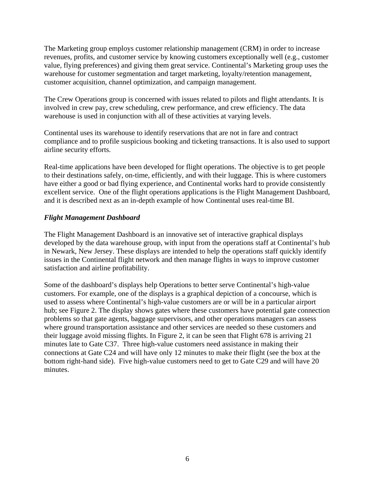The Marketing group employs customer relationship management (CRM) in order to increase revenues, profits, and customer service by knowing customers exceptionally well (e.g., customer value, flying preferences) and giving them great service. Continental's Marketing group uses the warehouse for customer segmentation and target marketing, loyalty/retention management, customer acquisition, channel optimization, and campaign management.

The Crew Operations group is concerned with issues related to pilots and flight attendants. It is involved in crew pay, crew scheduling, crew performance, and crew efficiency. The data warehouse is used in conjunction with all of these activities at varying levels.

Continental uses its warehouse to identify reservations that are not in fare and contract compliance and to profile suspicious booking and ticketing transactions. It is also used to support airline security efforts.

Real-time applications have been developed for flight operations. The objective is to get people to their destinations safely, on-time, efficiently, and with their luggage. This is where customers have either a good or bad flying experience, and Continental works hard to provide consistently excellent service. One of the flight operations applications is the Flight Management Dashboard, and it is described next as an in-depth example of how Continental uses real-time BI.

## *Flight Management Dashboard*

The Flight Management Dashboard is an innovative set of interactive graphical displays developed by the data warehouse group, with input from the operations staff at Continental's hub in Newark, New Jersey. These displays are intended to help the operations staff quickly identify issues in the Continental flight network and then manage flights in ways to improve customer satisfaction and airline profitability.

Some of the dashboard's displays help Operations to better serve Continental's high-value customers. For example, one of the displays is a graphical depiction of a concourse, which is used to assess where Continental's high-value customers are or will be in a particular airport hub; see Figure 2. The display shows gates where these customers have potential gate connection problems so that gate agents, baggage supervisors, and other operations managers can assess where ground transportation assistance and other services are needed so these customers and their luggage avoid missing flights. In Figure 2, it can be seen that Flight 678 is arriving 21 minutes late to Gate C37. Three high-value customers need assistance in making their connections at Gate C24 and will have only 12 minutes to make their flight (see the box at the bottom right-hand side). Five high-value customers need to get to Gate C29 and will have 20 minutes.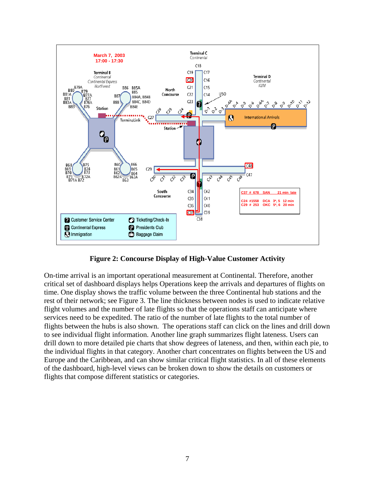

**Figure 2: Concourse Display of High-Value Customer Activity** 

On-time arrival is an important operational measurement at Continental. Therefore, another critical set of dashboard displays helps Operations keep the arrivals and departures of flights on time. One display shows the traffic volume between the three Continental hub stations and the rest of their network; see Figure 3. The line thickness between nodes is used to indicate relative flight volumes and the number of late flights so that the operations staff can anticipate where services need to be expedited. The ratio of the number of late flights to the total number of flights between the hubs is also shown. The operations staff can click on the lines and drill down to see individual flight information. Another line graph summarizes flight lateness. Users can drill down to more detailed pie charts that show degrees of lateness, and then, within each pie, to the individual flights in that category. Another chart concentrates on flights between the US and Europe and the Caribbean, and can show similar critical flight statistics. In all of these elements of the dashboard, high-level views can be broken down to show the details on customers or flights that compose different statistics or categories.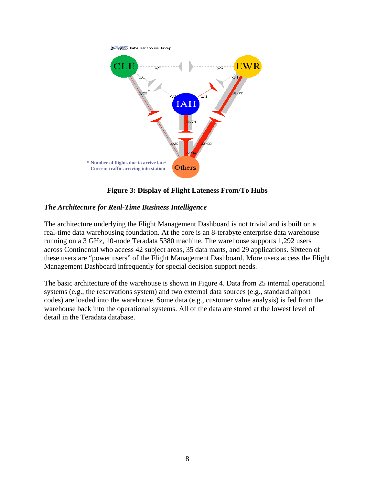

**Figure 3: Display of Flight Lateness From/To Hubs** 

# *The Architecture for Real-Time Business Intelligence*

The architecture underlying the Flight Management Dashboard is not trivial and is built on a real-time data warehousing foundation. At the core is an 8-terabyte enterprise data warehouse running on a 3 GHz, 10-node Teradata 5380 machine. The warehouse supports 1,292 users across Continental who access 42 subject areas, 35 data marts, and 29 applications. Sixteen of these users are "power users" of the Flight Management Dashboard. More users access the Flight Management Dashboard infrequently for special decision support needs.

The basic architecture of the warehouse is shown in Figure 4. Data from 25 internal operational systems (e.g., the reservations system) and two external data sources (e.g., standard airport codes) are loaded into the warehouse. Some data (e.g., customer value analysis) is fed from the warehouse back into the operational systems. All of the data are stored at the lowest level of detail in the Teradata database.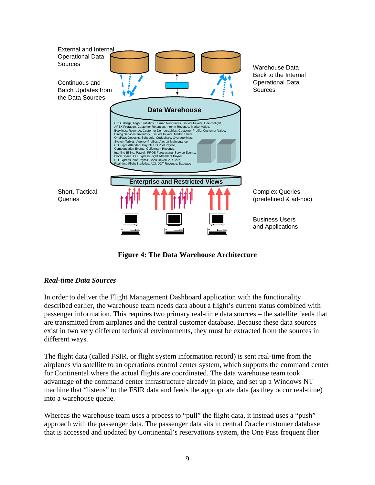

**Figure 4: The Data Warehouse Architecture** 

# *Real-time Data Sources*

In order to deliver the Flight Management Dashboard application with the functionality described earlier, the warehouse team needs data about a flight's current status combined with passenger information. This requires two primary real-time data sources – the satellite feeds that are transmitted from airplanes and the central customer database. Because these data sources exist in two very different technical environments, they must be extracted from the sources in different ways.

The flight data (called FSIR, or flight system information record) is sent real-time from the airplanes via satellite to an operations control center system, which supports the command center for Continental where the actual flights are coordinated. The data warehouse team took advantage of the command center infrastructure already in place, and set up a Windows NT machine that "listens" to the FSIR data and feeds the appropriate data (as they occur real-time) into a warehouse queue.

Whereas the warehouse team uses a process to "pull" the flight data, it instead uses a "push" approach with the passenger data. The passenger data sits in central Oracle customer database that is accessed and updated by Continental's reservations system, the One Pass frequent flier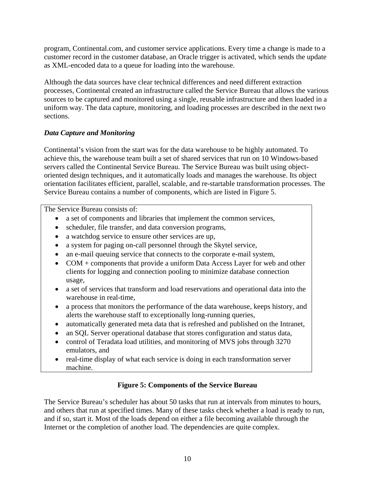program, Continental.com, and customer service applications. Every time a change is made to a customer record in the customer database, an Oracle trigger is activated, which sends the update as XML-encoded data to a queue for loading into the warehouse.

Although the data sources have clear technical differences and need different extraction processes, Continental created an infrastructure called the Service Bureau that allows the various sources to be captured and monitored using a single, reusable infrastructure and then loaded in a uniform way. The data capture, monitoring, and loading processes are described in the next two sections.

# *Data Capture and Monitoring*

Continental's vision from the start was for the data warehouse to be highly automated. To achieve this, the warehouse team built a set of shared services that run on 10 Windows-based servers called the Continental Service Bureau. The Service Bureau was built using objectoriented design techniques, and it automatically loads and manages the warehouse. Its object orientation facilitates efficient, parallel, scalable, and re-startable transformation processes. The Service Bureau contains a number of components, which are listed in Figure 5.

The Service Bureau consists of:

- a set of components and libraries that implement the common services,
- scheduler, file transfer, and data conversion programs,
- a watchdog service to ensure other services are up,
- a system for paging on-call personnel through the Skytel service,
- an e-mail queuing service that connects to the corporate e-mail system,
- COM + components that provide a uniform Data Access Layer for web and other clients for logging and connection pooling to minimize database connection usage,
- a set of services that transform and load reservations and operational data into the warehouse in real-time,
- a process that monitors the performance of the data warehouse, keeps history, and alerts the warehouse staff to exceptionally long-running queries,
- automatically generated meta data that is refreshed and published on the Intranet,
- an SQL Server operational database that stores configuration and status data,
- control of Teradata load utilities, and monitoring of MVS jobs through 3270 emulators, and
- real-time display of what each service is doing in each transformation server machine.

# **Figure 5: Components of the Service Bureau**

The Service Bureau's scheduler has about 50 tasks that run at intervals from minutes to hours, and others that run at specified times. Many of these tasks check whether a load is ready to run, and if so, start it. Most of the loads depend on either a file becoming available through the Internet or the completion of another load. The dependencies are quite complex.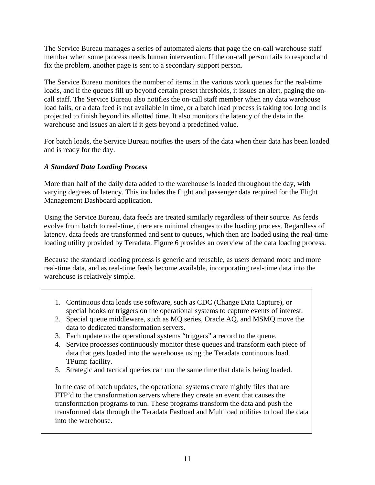The Service Bureau manages a series of automated alerts that page the on-call warehouse staff member when some process needs human intervention. If the on-call person fails to respond and fix the problem, another page is sent to a secondary support person.

The Service Bureau monitors the number of items in the various work queues for the real-time loads, and if the queues fill up beyond certain preset thresholds, it issues an alert, paging the oncall staff. The Service Bureau also notifies the on-call staff member when any data warehouse load fails, or a data feed is not available in time, or a batch load process is taking too long and is projected to finish beyond its allotted time. It also monitors the latency of the data in the warehouse and issues an alert if it gets beyond a predefined value.

For batch loads, the Service Bureau notifies the users of the data when their data has been loaded and is ready for the day.

# *A Standard Data Loading Process*

More than half of the daily data added to the warehouse is loaded throughout the day, with varying degrees of latency. This includes the flight and passenger data required for the Flight Management Dashboard application.

Using the Service Bureau, data feeds are treated similarly regardless of their source. As feeds evolve from batch to real-time, there are minimal changes to the loading process. Regardless of latency, data feeds are transformed and sent to queues, which then are loaded using the real-time loading utility provided by Teradata. Figure 6 provides an overview of the data loading process.

Because the standard loading process is generic and reusable, as users demand more and more real-time data, and as real-time feeds become available, incorporating real-time data into the warehouse is relatively simple.

- 1. Continuous data loads use software, such as CDC (Change Data Capture), or special hooks or triggers on the operational systems to capture events of interest.
- 2. Special queue middleware, such as MQ series, Oracle AQ, and MSMQ move the data to dedicated transformation servers.
- 3. Each update to the operational systems "triggers" a record to the queue.
- 4. Service processes continuously monitor these queues and transform each piece of data that gets loaded into the warehouse using the Teradata continuous load TPump facility.
- 5. Strategic and tactical queries can run the same time that data is being loaded.

In the case of batch updates, the operational systems create nightly files that are FTP'd to the transformation servers where they create an event that causes the transformation programs to run. These programs transform the data and push the transformed data through the Teradata Fastload and Multiload utilities to load the data into the warehouse.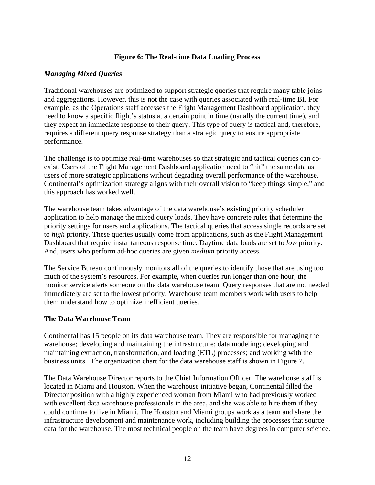## **Figure 6: The Real-time Data Loading Process**

### *Managing Mixed Queries*

Traditional warehouses are optimized to support strategic queries that require many table joins and aggregations. However, this is not the case with queries associated with real-time BI. For example, as the Operations staff accesses the Flight Management Dashboard application, they need to know a specific flight's status at a certain point in time (usually the current time), and they expect an immediate response to their query. This type of query is tactical and, therefore, requires a different query response strategy than a strategic query to ensure appropriate performance.

The challenge is to optimize real-time warehouses so that strategic and tactical queries can coexist. Users of the Flight Management Dashboard application need to "hit" the same data as users of more strategic applications without degrading overall performance of the warehouse. Continental's optimization strategy aligns with their overall vision to "keep things simple," and this approach has worked well.

The warehouse team takes advantage of the data warehouse's existing priority scheduler application to help manage the mixed query loads. They have concrete rules that determine the priority settings for users and applications. The tactical queries that access single records are set to *high* priority. These queries usually come from applications, such as the Flight Management Dashboard that require instantaneous response time. Daytime data loads are set to *low* priority. And, users who perform ad-hoc queries are given *medium* priority access.

The Service Bureau continuously monitors all of the queries to identify those that are using too much of the system's resources. For example, when queries run longer than one hour, the monitor service alerts someone on the data warehouse team. Query responses that are not needed immediately are set to the lowest priority. Warehouse team members work with users to help them understand how to optimize inefficient queries.

### **The Data Warehouse Team**

Continental has 15 people on its data warehouse team. They are responsible for managing the warehouse; developing and maintaining the infrastructure; data modeling; developing and maintaining extraction, transformation, and loading (ETL) processes; and working with the business units. The organization chart for the data warehouse staff is shown in Figure 7.

The Data Warehouse Director reports to the Chief Information Officer. The warehouse staff is located in Miami and Houston. When the warehouse initiative began, Continental filled the Director position with a highly experienced woman from Miami who had previously worked with excellent data warehouse professionals in the area, and she was able to hire them if they could continue to live in Miami. The Houston and Miami groups work as a team and share the infrastructure development and maintenance work, including building the processes that source data for the warehouse. The most technical people on the team have degrees in computer science.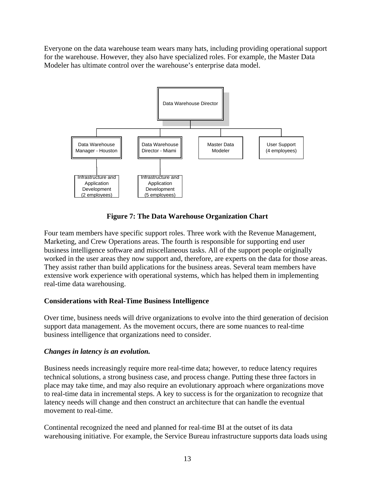Everyone on the data warehouse team wears many hats, including providing operational support for the warehouse. However, they also have specialized roles. For example, the Master Data Modeler has ultimate control over the warehouse's enterprise data model.



**Figure 7: The Data Warehouse Organization Chart**

Four team members have specific support roles. Three work with the Revenue Management, Marketing, and Crew Operations areas. The fourth is responsible for supporting end user business intelligence software and miscellaneous tasks. All of the support people originally worked in the user areas they now support and, therefore, are experts on the data for those areas. They assist rather than build applications for the business areas. Several team members have extensive work experience with operational systems, which has helped them in implementing real-time data warehousing.

# **Considerations with Real-Time Business Intelligence**

Over time, business needs will drive organizations to evolve into the third generation of decision support data management. As the movement occurs, there are some nuances to real-time business intelligence that organizations need to consider.

# *Changes in latency is an evolution.*

Business needs increasingly require more real-time data; however, to reduce latency requires technical solutions, a strong business case, and process change. Putting these three factors in place may take time, and may also require an evolutionary approach where organizations move to real-time data in incremental steps. A key to success is for the organization to recognize that latency needs will change and then construct an architecture that can handle the eventual movement to real-time.

Continental recognized the need and planned for real-time BI at the outset of its data warehousing initiative. For example, the Service Bureau infrastructure supports data loads using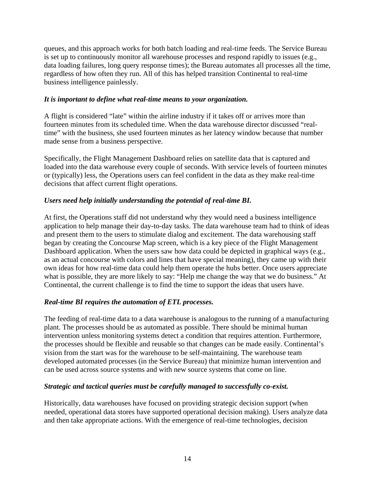queues, and this approach works for both batch loading and real-time feeds. The Service Bureau is set up to continuously monitor all warehouse processes and respond rapidly to issues (e.g., data loading failures, long query response times); the Bureau automates all processes all the time, regardless of how often they run. All of this has helped transition Continental to real-time business intelligence painlessly.

### *It is important to define what real-time means to your organization.*

A flight is considered "late" within the airline industry if it takes off or arrives more than fourteen minutes from its scheduled time. When the data warehouse director discussed "realtime" with the business, she used fourteen minutes as her latency window because that number made sense from a business perspective.

Specifically, the Flight Management Dashboard relies on satellite data that is captured and loaded into the data warehouse every couple of seconds. With service levels of fourteen minutes or (typically) less, the Operations users can feel confident in the data as they make real-time decisions that affect current flight operations.

### *Users need help initially understanding the potential of real-time BI.*

At first, the Operations staff did not understand why they would need a business intelligence application to help manage their day-to-day tasks. The data warehouse team had to think of ideas and present them to the users to stimulate dialog and excitement. The data warehousing staff began by creating the Concourse Map screen, which is a key piece of the Flight Management Dashboard application. When the users saw how data could be depicted in graphical ways (e.g., as an actual concourse with colors and lines that have special meaning), they came up with their own ideas for how real-time data could help them operate the hubs better. Once users appreciate what is possible, they are more likely to say: "Help me change the way that we do business." At Continental, the current challenge is to find the time to support the ideas that users have.

### *Real-time BI requires the automation of ETL processes.*

The feeding of real-time data to a data warehouse is analogous to the running of a manufacturing plant. The processes should be as automated as possible. There should be minimal human intervention unless monitoring systems detect a condition that requires attention. Furthermore, the processes should be flexible and reusable so that changes can be made easily. Continental's vision from the start was for the warehouse to be self-maintaining. The warehouse team developed automated processes (in the Service Bureau) that minimize human intervention and can be used across source systems and with new source systems that come on line.

#### *Strategic and tactical queries must be carefully managed to successfully co-exist.*

Historically, data warehouses have focused on providing strategic decision support (when needed, operational data stores have supported operational decision making). Users analyze data and then take appropriate actions. With the emergence of real-time technologies, decision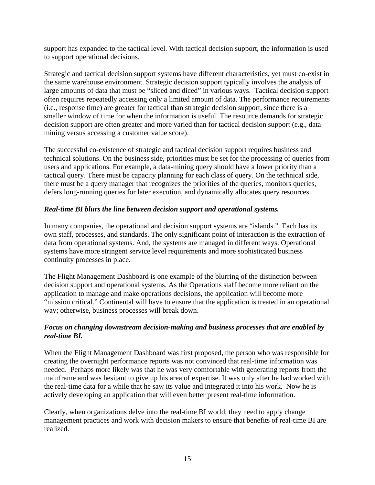support has expanded to the tactical level. With tactical decision support, the information is used to support operational decisions.

Strategic and tactical decision support systems have different characteristics, yet must co-exist in the same warehouse environment. Strategic decision support typically involves the analysis of large amounts of data that must be "sliced and diced" in various ways. Tactical decision support often requires repeatedly accessing only a limited amount of data. The performance requirements (i.e., response time) are greater for tactical than strategic decision support, since there is a smaller window of time for when the information is useful. The resource demands for strategic decision support are often greater and more varied than for tactical decision support (e.g., data mining versus accessing a customer value score).

The successful co-existence of strategic and tactical decision support requires business and technical solutions. On the business side, priorities must be set for the processing of queries from users and applications. For example, a data-mining query should have a lower priority than a tactical query. There must be capacity planning for each class of query. On the technical side, there must be a query manager that recognizes the priorities of the queries, monitors queries, defers long-running queries for later execution, and dynamically allocates query resources.

## *Real-time BI blurs the line between decision support and operational systems.*

In many companies, the operational and decision support systems are "islands." Each has its own staff, processes, and standards. The only significant point of interaction is the extraction of data from operational systems. And, the systems are managed in different ways. Operational systems have more stringent service level requirements and more sophisticated business continuity processes in place.

The Flight Management Dashboard is one example of the blurring of the distinction between decision support and operational systems. As the Operations staff become more reliant on the application to manage and make operations decisions, the application will become more "mission critical." Continental will have to ensure that the application is treated in an operational way; otherwise, business processes will break down.

## *Focus on changing downstream decision-making and business processes that are enabled by real-time BI.*

When the Flight Management Dashboard was first proposed, the person who was responsible for creating the overnight performance reports was not convinced that real-time information was needed. Perhaps more likely was that he was very comfortable with generating reports from the mainframe and was hesitant to give up his area of expertise. It was only after he had worked with the real-time data for a while that he saw its value and integrated it into his work. Now he is actively developing an application that will even better present real-time information.

Clearly, when organizations delve into the real-time BI world, they need to apply change management practices and work with decision makers to ensure that benefits of real-time BI are realized.